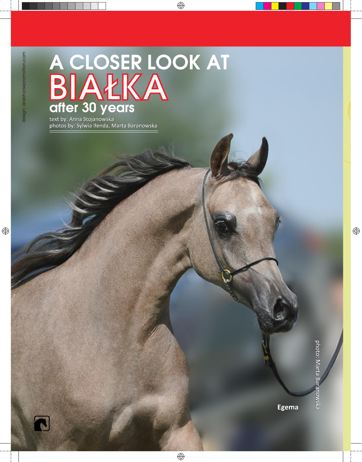## A CLOSER LOOK AT<br>BIAŁKA<br>after 30 years

text by: Anna Stojanowska photos by: Sylwia Iłenda, Marta Baranowska



**Egema**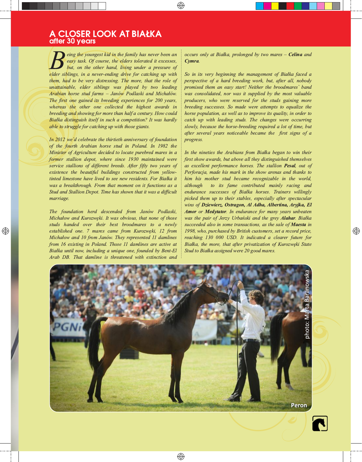## A CLOSER LOOK AT BIAŁKA after 30 years

eing the youngest kid in the family has never been an easy task. Of course, the elders tolerated it excesses, but, on the other hand, living under a pressure of elder siblings, in a never-ending drive for catching up with them, had to be very distressing. The more, that the role of unattainable, elder siblings was played by two leading Arabian horse stud farms - Janów Podlaski and Michałów. The first one gained its breeding experiences for 200 years, whereas the other one collected the highest awards in breeding and showing for more than half a century. How could Białka distinguish itself in such a competition? It was hardly able to struggle for catching up with those giants.

In  $2012$  we'd celebrate the thirtieth anniversary of foundation of the fourth Arabian horse stud in Poland. In 1982 the Minister of Agriculture decided to locate purebred mares in a former stallion depot, where since 1930 maintained were service stallions of different breeds. After fifty two years of existence the beautiful buildings constructed from yellowtinted limestone have lived to see new residents. For Białka it was a breakthrough. From that moment on it functions as a Stud and Stallion Depot. Time has shown that it was a difficult marriage.

The foundation herd descended from Janów Podlaski, Michałow and Kurozwęki. It was obvious, that none of those studs handed over their best broodmares to a newly established one. 7 mares came from Kurozweki, 12 from Michałow and 10 from Janów. They represented 11 damlines from 16 existing in Poland. Those 11 damlines are active at Białka until now, including a unique one, founded by Bent-El Arab DB. That damline is threatened with extinction and occurs only at Białka, prolonged by two mares - Celina and Cymra.

So in its very beginning the management of Białka faced a perspective of a hard breeding work, but, after all, nobody promised them an easy start! Neither the broodmares' band was consolidated, nor was it supplied by the most valuable producers, who were reserved for the studs gaining more breeding successes. So made were attempts to equalize the horse population, as well as to improve its quality, in order to catch up with leading studs. The changes were occurring slowly, because the horse-breeding required a lot of time, but after several years noticeable became the first signs of a progress.

In the nineties the Arabians from Białka began to win their first show awards, but above all they distinguished themselves as excellent performance horses. The stallion Pesal, out of Perforacja, made his mark in the show arenas and thanks to him his mother stud became recognizable in the world, to its fame contributed mainly racing and although endurance successes of Białka horses. Trainers willingly picked them up to their stables, especially after spectacular wins of Dziewierz, Ostragon, Al Adha, Albertina, Aryjka, El Amor or Medytator. In endurance for many years unbeaten was the pair of Jerzy Urbański and the grey Alahar. Białka succeeded also in some transactions, as the sale of Maesta in 1998, who, purchased by British customers, set a record price, reaching 130 000 USD. It indicated a clearer future for Białka, the more, that after privatization of Kurozweki State Stud to Białka assigned were 20 good mares.



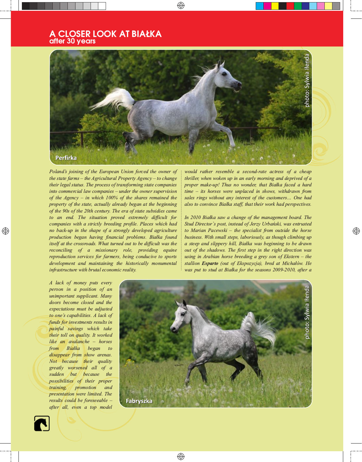## A CLOSER LOOK AT BIAŁKA after 30 years



Poland's joining of the European Union forced the owner of the state farms  $-$  the Agricultural Property Agency  $-$  to change their legal status. The process of transforming state companies into commercial law companies – under the owner supervision of the Agency  $-$  in which 100% of the shares remained the property of the state, actually already began at the beginning of the 90s of the 20th century. The era of state subsidies came to an end. The situation proved extremely difficult for companies with a strictly breeding profile. Places which had no back-up in the shape of a strongly developed agriculture production began having financial problems. Białka found itself at the crossroads. What turned out to be difficult was the reconciling of a missionary role, providing equine reproduction services for farmers, being conducive to sports development and maintaining the historically monumental infrastructure with brutal economic reality.

would rather resemble a second-rate actress of a cheap thriller, when woken up in an early morning and deprived of a proper make-up! Thus no wonder, that Białka faced a hard  $time - its$  horses were unplaced in shows, withdrawn from sales rings without any interest of the customers... One had also to convince Białka staff, that their work had perspectives.

In 2010 Białka saw a change of the management board. The Stud Director's post, instead of Jerzy Urbański, was entrusted to Marian Pacewski – the specialist from outside the horse business. With small steps, laboriously, as though climbing up a steep and slippery hill, Białka was beginning to be drawn out of the shadows. The first step in the right direction was using in Arabian horse breeding a grey son of Ekstern  $-$  the stallion Esparto (out of Ekspozycja), bred at Michałów. He was put to stud at Białka for the seasons 2009-2010, after a

A lack of money puts every person in a position of an unimportant supplicant. Many doors become closed and the expectations must be adjusted to one's capabilities. A lack of funds for investments results in painful savings which take their toll on quality. It worked like an avalanche - horses from Białka began  $to$ disappear from show arenas. Not because their quality greatly worsened all of a sudden but because the possibilities of their proper training, promotion and presentation were limited. The results could be foreseeable after all, even a top model